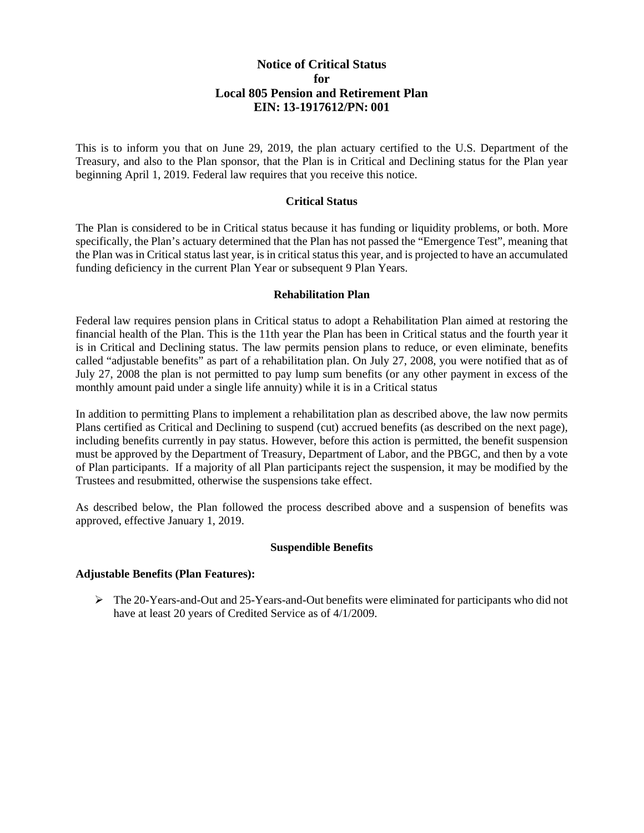# **Notice of Critical Status for Local 805 Pension and Retirement Plan EIN: 13-1917612/PN: 001**

This is to inform you that on June 29, 2019, the plan actuary certified to the U.S. Department of the Treasury, and also to the Plan sponsor, that the Plan is in Critical and Declining status for the Plan year beginning April 1, 2019. Federal law requires that you receive this notice.

#### **Critical Status**

The Plan is considered to be in Critical status because it has funding or liquidity problems, or both. More specifically, the Plan's actuary determined that the Plan has not passed the "Emergence Test", meaning that the Plan was in Critical status last year, is in critical status this year, and is projected to have an accumulated funding deficiency in the current Plan Year or subsequent 9 Plan Years.

#### **Rehabilitation Plan**

Federal law requires pension plans in Critical status to adopt a Rehabilitation Plan aimed at restoring the financial health of the Plan. This is the 11th year the Plan has been in Critical status and the fourth year it is in Critical and Declining status. The law permits pension plans to reduce, or even eliminate, benefits called "adjustable benefits" as part of a rehabilitation plan. On July 27, 2008, you were notified that as of July 27, 2008 the plan is not permitted to pay lump sum benefits (or any other payment in excess of the monthly amount paid under a single life annuity) while it is in a Critical status

In addition to permitting Plans to implement a rehabilitation plan as described above, the law now permits Plans certified as Critical and Declining to suspend (cut) accrued benefits (as described on the next page), including benefits currently in pay status. However, before this action is permitted, the benefit suspension must be approved by the Department of Treasury, Department of Labor, and the PBGC, and then by a vote of Plan participants. If a majority of all Plan participants reject the suspension, it may be modified by the Trustees and resubmitted, otherwise the suspensions take effect.

As described below, the Plan followed the process described above and a suspension of benefits was approved, effective January 1, 2019.

# **Suspendible Benefits**

#### **Adjustable Benefits (Plan Features):**

 $\triangleright$  The 20-Years-and-Out and 25-Years-and-Out benefits were eliminated for participants who did not have at least 20 years of Credited Service as of 4/1/2009.